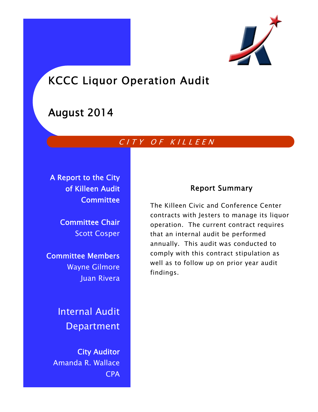

# KCCC Liquor Operation Audit

# August 2014

# CITY OF KILLEEN

A Report to the City of Killeen Audit **Committee** 

> Committee Chair Scott Cosper

Committee Members Wayne Gilmore Juan Rivera

> Internal Audit Department

City Auditor Amanda R. Wallace CPA

## Report Summary

The Killeen Civic and Conference Center contracts with Jesters to manage its liquor operation. The current contract requires that an internal audit be performed annually. This audit was conducted to comply with this contract stipulation as well as to follow up on prior year audit findings.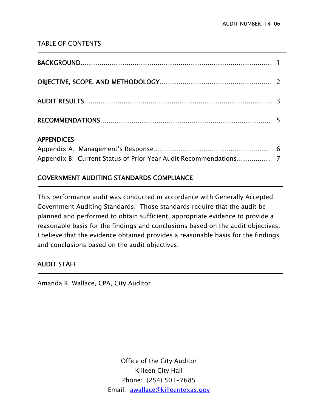### TABLE OF CONTENTS

| 100010000 |  |
|-----------|--|

### APPENDICES

Ī

**-**

## GOVERNMENT AUDITING STANDARDS COMPLIANCE

This performance audit was conducted in accordance with Generally Accepted Government Auditing Standards. Those standards require that the audit be planned and performed to obtain sufficient, appropriate evidence to provide a reasonable basis for the findings and conclusions based on the audit objectives. I believe that the evidence obtained provides a reasonable basis for the findings and conclusions based on the audit objectives.

## AUDIT STAFF

Amanda R. Wallace, CPA, City Auditor

Office of the City Auditor Killeen City Hall Phone: (254) 501-7685 Email: awallace@killeentexas.gov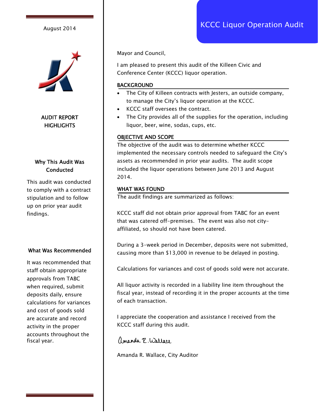

#### AUDIT REPORT **HIGHLIGHTS**

#### Why This Audit Was **Conducted**

This audit was conducted to comply with a contract stipulation and to follow up on prior year audit findings.

#### What Was Recommended

It was recommended that staff obtain appropriate approvals from TABC when required, submit deposits daily, ensure calculations for variances and cost of goods sold are accurate and record activity in the proper accounts throughout the fiscal year.

Mayor and Council,

I am pleased to present this audit of the Killeen Civic and Conference Center (KCCC) liquor operation.

#### **BACKGROUND**

- The City of Killeen contracts with Jesters, an outside company, to manage the City's liquor operation at the KCCC.
- KCCC staff oversees the contract.
- The City provides all of the supplies for the operation, including liquor, beer, wine, sodas, cups, etc.

#### OBJECTIVE AND SCOPE

The objective of the audit was to determine whether KCCC implemented the necessary controls needed to safeguard the City's assets as recommended in prior year audits. The audit scope included the liquor operations between June 2013 and August 2014.

#### WHAT WAS FOUND

The audit findings are summarized as follows:

KCCC staff did not obtain prior approval from TABC for an event that was catered off-premises. The event was also not cityaffiliated, so should not have been catered.

During a 3-week period in December, deposits were not submitted, causing more than \$13,000 in revenue to be delayed in posting.

Calculations for variances and cost of goods sold were not accurate.

All liquor activity is recorded in a liability line item throughout the fiscal year, instead of recording it in the proper accounts at the time of each transaction.

I appreciate the cooperation and assistance I received from the KCCC staff during this audit.

ananda R. Wallace

Amanda R. Wallace, City Auditor

# August 2014 **August 2014 Research August 2014 August 2014**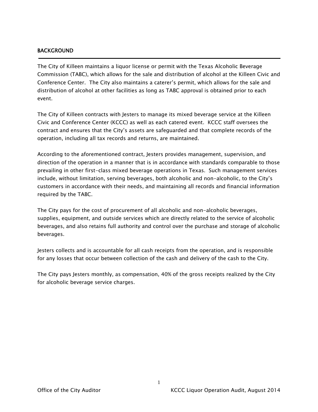#### BACKGROUND

j

The City of Killeen maintains a liquor license or permit with the Texas Alcoholic Beverage Commission (TABC), which allows for the sale and distribution of alcohol at the Killeen Civic and Conference Center. The City also maintains a caterer's permit, which allows for the sale and distribution of alcohol at other facilities as long as TABC approval is obtained prior to each event.

The City of Killeen contracts with Jesters to manage its mixed beverage service at the Killeen Civic and Conference Center (KCCC) as well as each catered event. KCCC staff oversees the contract and ensures that the City's assets are safeguarded and that complete records of the operation, including all tax records and returns, are maintained.

According to the aforementioned contract, Jesters provides management, supervision, and direction of the operation in a manner that is in accordance with standards comparable to those prevailing in other first-class mixed beverage operations in Texas. Such management services include, without limitation, serving beverages, both alcoholic and non-alcoholic, to the City's customers in accordance with their needs, and maintaining all records and financial information required by the TABC.

The City pays for the cost of procurement of all alcoholic and non-alcoholic beverages, supplies, equipment, and outside services which are directly related to the service of alcoholic beverages, and also retains full authority and control over the purchase and storage of alcoholic beverages.

Jesters collects and is accountable for all cash receipts from the operation, and is responsible for any losses that occur between collection of the cash and delivery of the cash to the City.

The City pays Jesters monthly, as compensation, 40% of the gross receipts realized by the City for alcoholic beverage service charges.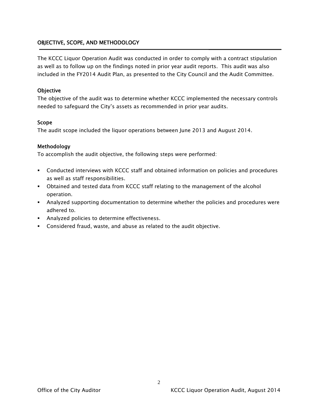#### OBJECTIVE, SCOPE, AND METHODOLOGY

The KCCC Liquor Operation Audit was conducted in order to comply with a contract stipulation as well as to follow up on the findings noted in prior year audit reports. This audit was also included in the FY2014 Audit Plan, as presented to the City Council and the Audit Committee.

#### **Objective**

The objective of the audit was to determine whether KCCC implemented the necessary controls needed to safeguard the City's assets as recommended in prior year audits.

#### Scope

The audit scope included the liquor operations between June 2013 and August 2014.

#### Methodology

To accomplish the audit objective, the following steps were performed:

- Conducted interviews with KCCC staff and obtained information on policies and procedures as well as staff responsibilities.
- Obtained and tested data from KCCC staff relating to the management of the alcohol operation.
- Analyzed supporting documentation to determine whether the policies and procedures were adhered to.
- **Analyzed policies to determine effectiveness.**
- Considered fraud, waste, and abuse as related to the audit objective.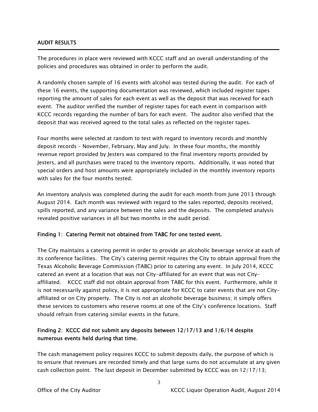#### AUDIT RESULTS

Ī

The procedures in place were reviewed with KCCC staff and an overall understanding of the policies and procedures was obtained in order to perform the audit.

A randomly chosen sample of 16 events with alcohol was tested during the audit. For each of these 16 events, the supporting documentation was reviewed, which included register tapes reporting the amount of sales for each event as well as the deposit that was received for each event. The auditor verified the number of register tapes for each event in comparison with KCCC records regarding the number of bars for each event. The auditor also verified that the deposit that was received agreed to the total sales as reflected on the register tapes.

Four months were selected at random to test with regard to inventory records and monthly deposit records – November, February, May and July. In these four months, the monthly revenue report provided by Jesters was compared to the final inventory reports provided by Jesters, and all purchases were traced to the inventory reports. Additionally, it was noted that special orders and host amounts were appropriately included in the monthly inventory reports with sales for the four months tested.

An inventory analysis was completed during the audit for each month from June 2013 through August 2014. Each month was reviewed with regard to the sales reported, deposits received, spills reported, and any variance between the sales and the deposits. The completed analysis revealed positive variances in all but two months in the audit period.

#### Finding 1: Catering Permit not obtained from TABC for one tested event.

The City maintains a catering permit in order to provide an alcoholic beverage service at each of its conference facilities. The City's catering permit requires the City to obtain approval from the Texas Alcoholic Beverage Commission (TABC) prior to catering any event. In July 2014, KCCC catered an event at a location that was not City-affiliated for an event that was not Cityaffiliated. KCCC staff did not obtain approval from TABC for this event. Furthermore, while it is not necessarily against policy, it is not appropriate for KCCC to cater events that are not Cityaffiliated or on City property. The City is not an alcoholic beverage business; it simply offers these services to customers who reserve rooms at one of the City's conference locations. Staff should refrain from catering similar events in the future.

#### Finding 2: KCCC did not submit any deposits between 12/17/13 and 1/6/14 despite numerous events held during that time.

The cash management policy requires KCCC to submit deposits daily, the purpose of which is to ensure that revenues are recorded timely and that large sums do not accumulate at any given cash collection point. The last deposit in December submitted by KCCC was on 12/17/13;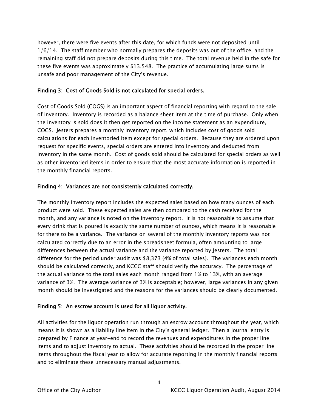however, there were five events after this date, for which funds were not deposited until 1/6/14. The staff member who normally prepares the deposits was out of the office, and the remaining staff did not prepare deposits during this time. The total revenue held in the safe for these five events was approximately \$13,548. The practice of accumulating large sums is unsafe and poor management of the City's revenue.

#### Finding 3: Cost of Goods Sold is not calculated for special orders.

Cost of Goods Sold (COGS) is an important aspect of financial reporting with regard to the sale of inventory. Inventory is recorded as a balance sheet item at the time of purchase. Only when the inventory is sold does it then get reported on the income statement as an expenditure, COGS. Jesters prepares a monthly inventory report, which includes cost of goods sold calculations for each inventoried item except for special orders. Because they are ordered upon request for specific events, special orders are entered into inventory and deducted from inventory in the same month. Cost of goods sold should be calculated for special orders as well as other inventoried items in order to ensure that the most accurate information is reported in the monthly financial reports.

#### Finding 4: Variances are not consistently calculated correctly.

The monthly inventory report includes the expected sales based on how many ounces of each product were sold. These expected sales are then compared to the cash received for the month, and any variance is noted on the inventory report. It is not reasonable to assume that every drink that is poured is exactly the same number of ounces, which means it is reasonable for there to be a variance. The variance on several of the monthly inventory reports was not calculated correctly due to an error in the spreadsheet formula, often amounting to large differences between the actual variance and the variance reported by Jesters. The total difference for the period under audit was \$8,373 (4% of total sales). The variances each month should be calculated correctly, and KCCC staff should verify the accuracy. The percentage of the actual variance to the total sales each month ranged from 1% to 13%, with an average variance of 3%. The average variance of 3% is acceptable; however, large variances in any given month should be investigated and the reasons for the variances should be clearly documented.

#### Finding 5: An escrow account is used for all liquor activity.

All activities for the liquor operation run through an escrow account throughout the year, which means it is shown as a liability line item in the City's general ledger. Then a journal entry is prepared by Finance at year-end to record the revenues and expenditures in the proper line items and to adjust inventory to actual. These activities should be recorded in the proper line items throughout the fiscal year to allow for accurate reporting in the monthly financial reports and to eliminate these unnecessary manual adjustments.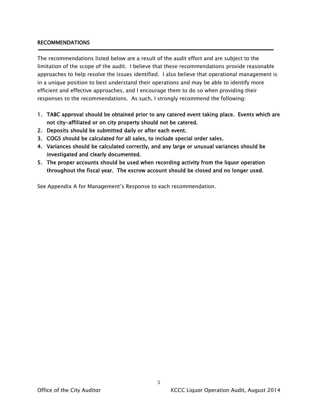#### RECOMMENDATIONS

The recommendations listed below are a result of the audit effort and are subject to the limitation of the scope of the audit. I believe that these recommendations provide reasonable approaches to help resolve the issues identified. I also believe that operational management is in a unique position to best understand their operations and may be able to identify more efficient and effective approaches, and I encourage them to do so when providing their responses to the recommendations. As such, I strongly recommend the following:

- 1. TABC approval should be obtained prior to any catered event taking place. Events which are not city-affiliated or on city property should not be catered.
- 2. Deposits should be submitted daily or after each event.
- 3. COGS should be calculated for all sales, to include special order sales.
- 4. Variances should be calculated correctly, and any large or unusual variances should be investigated and clearly documented.
- 5. The proper accounts should be used when recording activity from the liquor operation throughout the fiscal year. The escrow account should be closed and no longer used.

See Appendix A for Management's Response to each recommendation.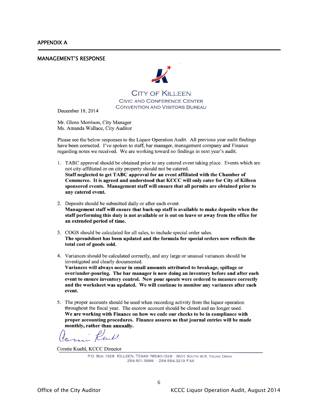j

#### MANAGEMENT'S RESPONSE



**CITY OF KILLEEN** 

CIVIC AND CONFERENCE CENTER **CONVENTION AND VISITORS BUREAU** 

December 18, 2014

Mr. Glenn Morrison, City Manager Ms. Amanda Wallace, City Auditor

Please see the below responses to the Liquor Operation Audit. All previous year audit findings have been corrected. I've spoken to staff, bar manager, management company and Finance regarding notes we received. We are working toward no findings in next year's audit.

- 1. TABC approval should be obtained prior to any catered event taking place. Events which are not city-affiliated or on city property should not be catered. Staff neglected to get TABC approval for an event affiliated with the Chamber of Commerce. It is agreed and understood that KCCC will only cater for City of Killeen sponsored events. Management staff will ensure that all permits are obtained prior to any catered event.
- 2. Deposits should be submitted daily or after each event. Management staff will ensure that back-up staff is available to make deposits when the staff performing this duty is not available or is out on leave or away from the office for an extended period of time.
- 3. COGS should be calculated for all sales, to include special order sales. The spreadsheet has been updated and the formula for special orders now reflects the total cost of goods sold.
- 4. Variances should be calculated correctly, and any large or unusual variances should be investigated and clearly documented. Variances will always occur in small amounts attributed to breakage, spillage or over/under-pouring. The bar manager is now doing an inventory before and after each event to ensure inventory control. New pour spouts were ordered to measure correctly and the worksheet was updated. We will continue to monitor any variances after each event.
- 5. The proper accounts should be used when recording activity from the liquor operation throughout the fiscal year. The escrow account should be closed and no longer used. We are working with Finance on how we code our checks to be in compliance with proper accounting procedures. Finance assures us that journal entries will be made monthly, rather than annually.

- Rul

Connie Kuehl, KCCC Director

P.O. Box 1329 KILLEEN, TEXAS 76540-1329 - 3601 SOUTH W.S. YOUNG DRIVE 254.501.3888 · 254.554.3219 FAX